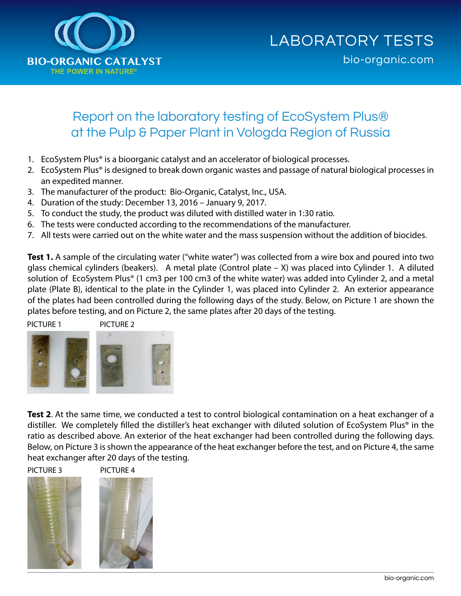

## Report on the laboratory testing of EcoSystem Plus® at the Pulp & Paper Plant in Vologda Region of Russia

- 1. EcoSystem Plus® is a bioorganic catalyst and an accelerator of biological processes.
- 2. EcoSystem Plus® is designed to break down organic wastes and passage of natural biological processes in an expedited manner.
- 3. The manufacturer of the product: Bio-Organic, Catalyst, Inc., USA.
- 4. Duration of the study: December 13, 2016 January 9, 2017.
- 5. To conduct the study, the product was diluted with distilled water in 1:30 ratio.
- 6. The tests were conducted according to the recommendations of the manufacturer.
- 7. All tests were carried out on the white water and the mass suspension without the addition of biocides.

**Test 1.** A sample of the circulating water ("white water") was collected from a wire box and poured into two glass chemical cylinders (beakers). A metal plate (Control plate – X) was placed into Cylinder 1. A diluted solution of EcoSystem Plus® (1 cm3 per 100 cm3 of the white water) was added into Cylinder 2, and a metal plate (Plate B), identical to the plate in the Cylinder 1, was placed into Cylinder 2. An exterior appearance of the plates had been controlled during the following days of the study. Below, on Picture 1 are shown the plates before testing, and on Picture 2, the same plates after 20 days of the testing.



**Test 2**. At the same time, we conducted a test to control biological contamination on a heat exchanger of a distiller. We completely filled the distiller's heat exchanger with diluted solution of EcoSystem Plus® in the ratio as described above. An exterior of the heat exchanger had been controlled during the following days. Below, on Picture 3 is shown the appearance of the heat exchanger before the test, and on Picture 4, the same heat exchanger after 20 days of the testing.

PICTURE 3 PICTURE 4